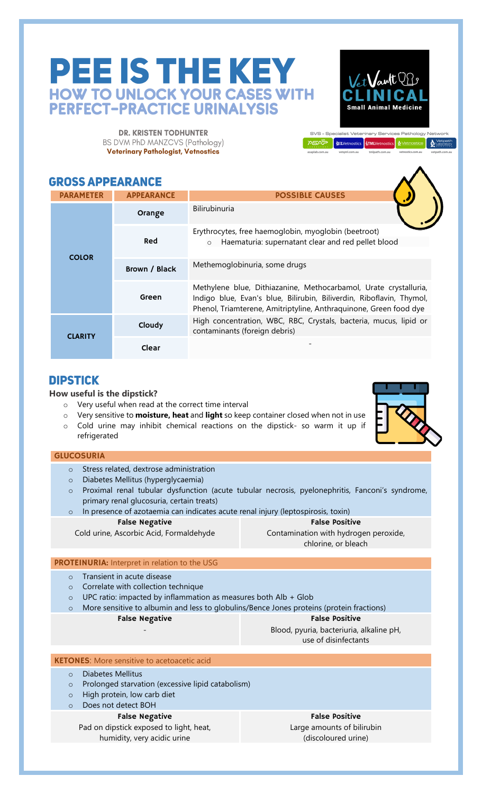# PEE IS THE KEY **HOW TO UNLOCK YOUR CASES WITH PERFECT-PRACTICE URINALYSIS**

**DR. KRISTEN TODHUNTER** BS DVM PhD MANZCVS (Pathology) Veterinary Pathologist, Vetnostics

## **GROSS APPEARANCE**

| <b>PARAMETER</b> | <b>APPEARANCE</b> | <b>POSSIBLE CAUSES</b>                                                                                                                                                                                        |
|------------------|-------------------|---------------------------------------------------------------------------------------------------------------------------------------------------------------------------------------------------------------|
| <b>COLOR</b>     | Orange            | Bilirubinuria                                                                                                                                                                                                 |
|                  | Red               | Erythrocytes, free haemoglobin, myoglobin (beetroot)<br>Haematuria: supernatant clear and red pellet blood<br>$\circ$                                                                                         |
|                  | Brown / Black     | Methemoglobinuria, some drugs                                                                                                                                                                                 |
|                  | Green             | Methylene blue, Dithiazanine, Methocarbamol, Urate crystalluria,<br>Indigo blue, Evan's blue, Bilirubin, Biliverdin, Riboflavin, Thymol,<br>Phenol, Triamterene, Amitriptyline, Anthraquinone, Green food dye |
| <b>CLARITY</b>   | Cloudy            | High concentration, WBC, RBC, Crystals, bacteria, mucus, lipid or<br>contaminants (foreign debris)                                                                                                            |
|                  | Clear             |                                                                                                                                                                                                               |

## **DIPSTICK**

### **How useful is the dipstick?**

- o Very useful when read at the correct time interval
- o Very sensitive to **moisture, heat** and **light** so keep container closed when not in use
- o Cold urine may inhibit chemical reactions on the dipstick- so warm it up if refrigerated

Vet Vant OB

**Small Animal Medicine** 

SVS - Specialist Veterinary Services Pathology Networ

ASAS SALVetnostics STMLVetnostics & Vetnostics &

#### GLUCOSURIA

- o Stress related, dextrose administration
- o Diabetes Mellitus (hyperglycaemia)
- o Proximal renal tubular dysfunction (acute tubular necrosis, pyelonephritis, Fanconi's syndrome, primary renal glucosuria, certain treats)
- o In presence of azotaemia can indicates acute renal injury (leptospirosis, toxin) False Negative False Positive

## Cold urine, Ascorbic Acid, Formaldehyde

Contamination with hydrogen peroxide, chlorine, or bleach

#### PROTEINURIA: Interpret in relation to the USG

- o Transient in acute disease
- o Correlate with collection technique
- o UPC ratio: impacted by inflammation as measures both Alb + Glob
- o More sensitive to albumin and less to globulins/Bence Jones proteins (protein fractions)

#### False Negative -

False Positive

Blood, pyuria, bacteriuria, alkaline pH, use of disinfectants

#### KETONES: More sensitive to acetoacetic acid

- o Diabetes Mellitus
- o Prolonged starvation (excessive lipid catabolism)
- o High protein, low carb diet
- o Does not detect BOH

#### False Negative

Pad on dipstick exposed to light, heat, humidity, very acidic urine

False Positive

Large amounts of bilirubin (discoloured urine)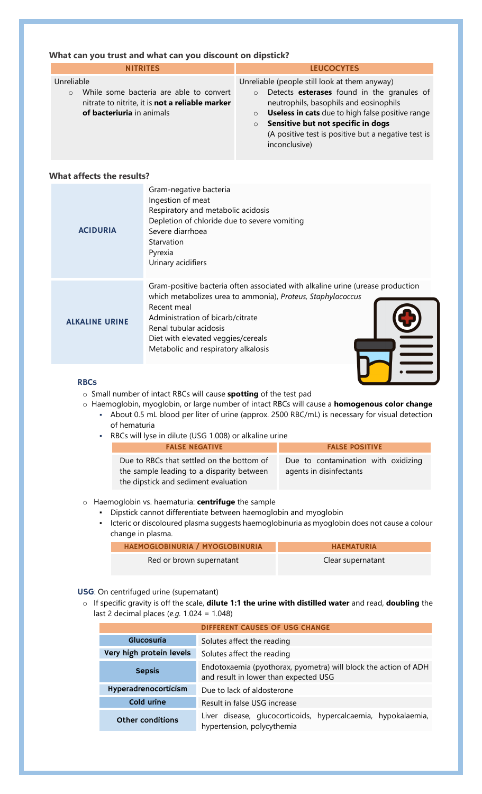#### **What can you trust and what can you discount on dipstick?**

| <b>NITRITES</b>                                                                                                                                  | <b>LEUCOCYTES</b>                                                                                                                                                                                                                                                                                                                        |
|--------------------------------------------------------------------------------------------------------------------------------------------------|------------------------------------------------------------------------------------------------------------------------------------------------------------------------------------------------------------------------------------------------------------------------------------------------------------------------------------------|
| Unreliable<br>While some bacteria are able to convert<br>$\circ$<br>nitrate to nitrite, it is not a reliable marker<br>of bacteriuria in animals | Unreliable (people still look at them anyway)<br>Detects esterases found in the granules of<br>$\circ$<br>neutrophils, basophils and eosinophils<br>Useless in cats due to high false positive range<br>$\circ$<br>Sensitive but not specific in dogs<br>$\circ$<br>(A positive test is positive but a negative test is<br>inconclusive) |

#### **What affects the results?**

| <b>ACIDURIA</b>       | Gram-negative bacteria<br>Ingestion of meat<br>Respiratory and metabolic acidosis<br>Depletion of chloride due to severe vomiting<br>Severe diarrhoea<br>Starvation<br>Pyrexia<br>Urinary acidifiers                                                                                                    |
|-----------------------|---------------------------------------------------------------------------------------------------------------------------------------------------------------------------------------------------------------------------------------------------------------------------------------------------------|
| <b>ALKALINE URINE</b> | Gram-positive bacteria often associated with alkaline urine (urease production<br>which metabolizes urea to ammonia), Proteus, Staphylococcus<br>Recent meal<br>Administration of bicarb/citrate<br>Renal tubular acidosis<br>Diet with elevated veggies/cereals<br>Metabolic and respiratory alkalosis |

#### RBCs

o Small number of intact RBCs will cause **spotting** of the test pad

- o Haemoglobin, myoglobin, or large number of intact RBCs will cause a **homogenous color change**
	- About 0.5 mL blood per liter of urine (approx. 2500 RBC/mL) is necessary for visual detection of hematuria
	- RBCs will lyse in dilute (USG 1.008) or alkaline urine

| <b>FALSE NEGATIVE</b>                                                                                                          | <b>FALSE POSITIVE</b>                                          |
|--------------------------------------------------------------------------------------------------------------------------------|----------------------------------------------------------------|
| Due to RBCs that settled on the bottom of<br>the sample leading to a disparity between<br>the dipstick and sediment evaluation | Due to contamination with oxidizing<br>agents in disinfectants |

#### o Haemoglobin vs. haematuria: **centrifuge** the sample

- Dipstick cannot differentiate between haemoglobin and myoglobin
- Icteric or discoloured plasma suggests haemoglobinuria as myoglobin does not cause a colour change in plasma.

| <b>HAEMOGLOBINURIA / MYOGLOBINURIA</b> | <b>HAEMATURIA</b> |
|----------------------------------------|-------------------|
| Red or brown supernatant               | Clear supernatant |

#### USG: On centrifuged urine (supernatant)

o If specific gravity is off the scale, **dilute 1:1 the urine with distilled water** and read, **doubling** the last 2 decimal places (*e.g.* 1.024 = 1.048)

| <b>DIFFERENT CAUSES OF USG CHANGE</b>                                                                                     |                                                                                             |
|---------------------------------------------------------------------------------------------------------------------------|---------------------------------------------------------------------------------------------|
| Glucosuria                                                                                                                | Solutes affect the reading                                                                  |
| Very high protein levels<br>Solutes affect the reading                                                                    |                                                                                             |
| Endotoxaemia (pyothorax, pyometra) will block the action of ADH<br><b>Sepsis</b><br>and result in lower than expected USG |                                                                                             |
| Hyperadrenocorticism                                                                                                      | Due to lack of aldosterone                                                                  |
| Cold urine                                                                                                                | Result in false USG increase                                                                |
| <b>Other conditions</b>                                                                                                   | Liver disease, glucocorticoids, hypercalcaemia, hypokalaemia,<br>hypertension, polycythemia |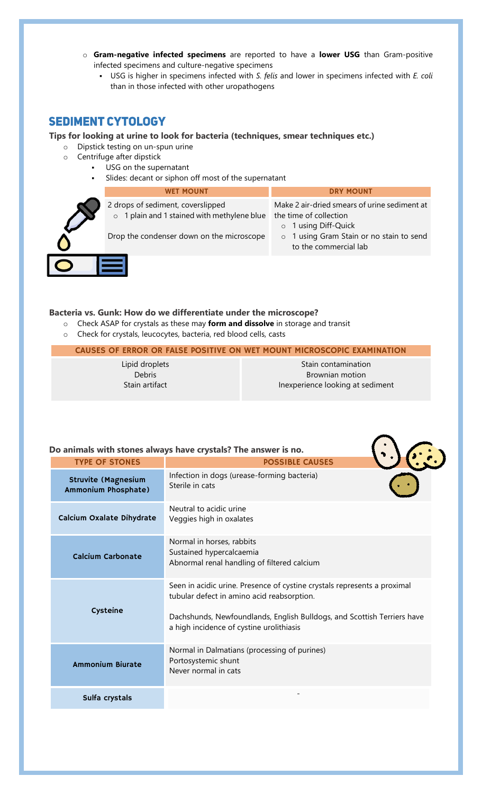- o **Gram-negative infected specimens** are reported to have a **lower USG** than Gram-positive infected specimens and culture-negative specimens
	- USG is higher in specimens infected with *S. felis* and lower in specimens infected with *E. coli* than in those infected with other uropathogens

## **SEDIMENT CYTOLOGY**

#### **Tips for looking at urine to look for bacteria (techniques, smear techniques etc.)**

- o Dipstick testing on un-spun urine
- o Centrifuge after dipstick
	- USG on the supernatant
		- Slides: decant or siphon off most of the supernatant

| <b>WET MOUNT</b>                                                                          | <b>DRY MOUNT</b>                                                                                        |
|-------------------------------------------------------------------------------------------|---------------------------------------------------------------------------------------------------------|
| 2 drops of sediment, coverslipped<br>1 plain and 1 stained with methylene blue<br>$\circ$ | Make 2 air-dried smears of urine sediment at<br>the time of collection<br>1 using Diff-Quick<br>$\circ$ |
| Drop the condenser down on the microscope                                                 | o 1 using Gram Stain or no stain to send<br>to the commercial lab                                       |
|                                                                                           |                                                                                                         |

#### **Bacteria vs. Gunk: How do we differentiate under the microscope?**

- o Check ASAP for crystals as these may **form and dissolve** in storage and transit
- o Check for crystals, leucocytes, bacteria, red blood cells, casts

#### CAUSES OF ERROR OR FALSE POSITIVE ON WET MOUNT MICROSCOPIC EXAMINATION

Lipid droplets Debris Stain artifact

Stain contamination Brownian motion Inexperience looking at sediment

 $\bigcap_{i=1}^n$ 

#### **Do animals with stones always have crystals? The answer is no.**

| <b>TYPE OF STONES</b>                             | <b>POSSIBLE CAUSES</b>                                                                                                                                                                                                                        |
|---------------------------------------------------|-----------------------------------------------------------------------------------------------------------------------------------------------------------------------------------------------------------------------------------------------|
| <b>Struvite (Magnesium</b><br>Ammonium Phosphate) | Infection in dogs (urease-forming bacteria)<br>Sterile in cats                                                                                                                                                                                |
| Calcium Oxalate Dihydrate                         | Neutral to acidic urine<br>Veggies high in oxalates                                                                                                                                                                                           |
| <b>Calcium Carbonate</b>                          | Normal in horses, rabbits<br>Sustained hypercalcaemia<br>Abnormal renal handling of filtered calcium                                                                                                                                          |
| Cysteine                                          | Seen in acidic urine. Presence of cystine crystals represents a proximal<br>tubular defect in amino acid reabsorption.<br>Dachshunds, Newfoundlands, English Bulldogs, and Scottish Terriers have<br>a high incidence of cystine urolithiasis |
| <b>Ammonium Biurate</b>                           | Normal in Dalmatians (processing of purines)<br>Portosystemic shunt<br>Never normal in cats                                                                                                                                                   |
| Sulfa crystals                                    |                                                                                                                                                                                                                                               |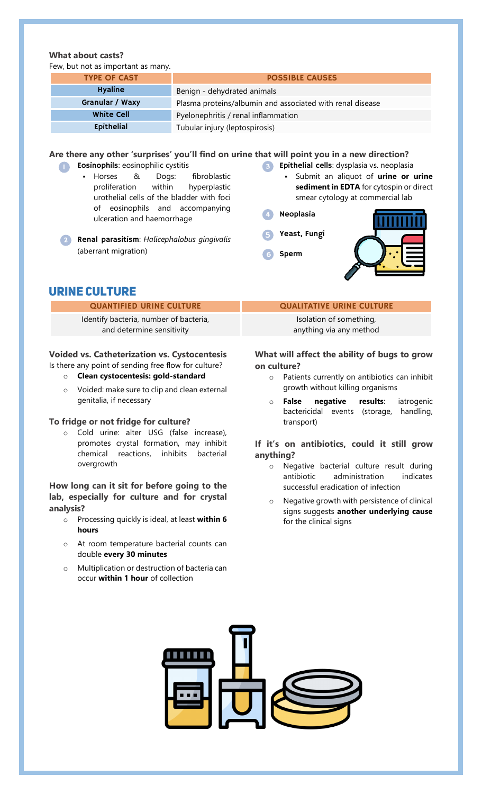#### **What about casts?** w but not as important as many

| Few, but not as important as many. |                                                           |  |
|------------------------------------|-----------------------------------------------------------|--|
| <b>TYPE OF CAST</b>                | <b>POSSIBLE CAUSES</b>                                    |  |
| <b>Hyaline</b>                     | Benign - dehydrated animals                               |  |
| Granular / Waxy                    | Plasma proteins/albumin and associated with renal disease |  |
| <b>White Cell</b>                  | Pyelonephritis / renal inflammation                       |  |
| Epithelial                         | Tubular injury (leptospirosis)                            |  |

#### **Are there any other 'surprises' you'll find on urine that will point you in a new direction?**

**Cosinophils**: eosinophilic cystitis

- Horses & Dogs: fibroblastic proliferation within hyperplastic urothelial cells of the bladder with foci of eosinophils and accompanying ulceration and haemorrhage
- **8** Epithelial cells: dysplasia vs. neoplasia
	- Submit an aliquot of **urine or urine sediment in EDTA** for cytospin or direct smear cytology at commercial lab
- Neoplasia
- Yeast, Fungi
- Sperm



## **URINE CULTURE**

(aberrant migration)

Identify bacteria, number of bacteria, and determine sensitivity

o Renal parasitism: *Halicephalobus gingivalis*

#### **Voided vs. Catheterization vs. Cystocentesis** Is there any point of sending free flow for culture?

- o **Clean cystocentesis: gold-standard**
- o Voided: make sure to clip and clean external genitalia, if necessary

#### **To fridge or not fridge for culture?**

o Cold urine: alter USG (false increase), promotes crystal formation, may inhibit chemical reactions, inhibits bacterial overgrowth

### **How long can it sit for before going to the lab, especially for culture and for crystal analysis?**

- o Processing quickly is ideal, at least **within 6 hours**
- o At room temperature bacterial counts can double **every 30 minutes**
- o Multiplication or destruction of bacteria can occur **within 1 hour** of collection

#### QUANTIFIED URINE CULTURE **QUALITATIVE URINE CULTURE**

Isolation of something, anything via any method

#### **What will affect the ability of bugs to grow on culture?**

- o Patients currently on antibiotics can inhibit growth without killing organisms
- o **False negative results**: iatrogenic bactericidal events (storage, handling, transport)

#### **If it's on antibiotics, could it still grow anything?**

- o Negative bacterial culture result during antibiotic administration indicates successful eradication of infection
- o Negative growth with persistence of clinical signs suggests **another underlying cause** for the clinical signs